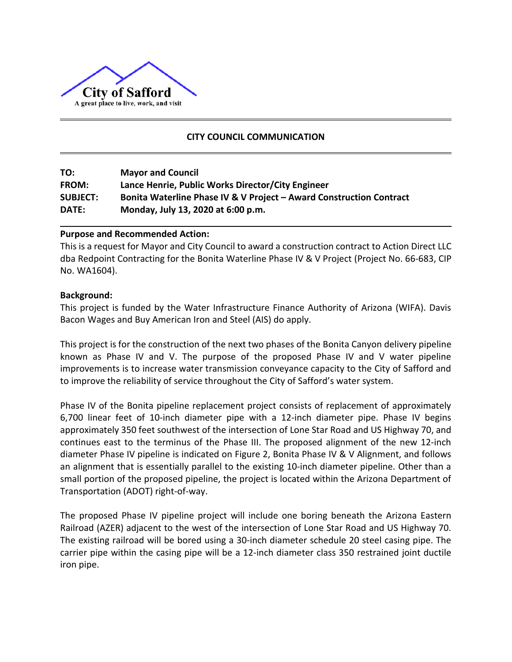

## **CITY COUNCIL COMMUNICATION**

| TO:             | <b>Mayor and Council</b>                                            |
|-----------------|---------------------------------------------------------------------|
| <b>FROM:</b>    | Lance Henrie, Public Works Director/City Engineer                   |
| <b>SUBJECT:</b> | Bonita Waterline Phase IV & V Project - Award Construction Contract |
| <b>DATE:</b>    | Monday, July 13, 2020 at 6:00 p.m.                                  |

#### **Purpose and Recommended Action:**

This is a request for Mayor and City Council to award a construction contract to Action Direct LLC dba Redpoint Contracting for the Bonita Waterline Phase IV & V Project (Project No. 66-683, CIP No. WA1604).

### **Background:**

This project is funded by the Water Infrastructure Finance Authority of Arizona (WIFA). Davis Bacon Wages and Buy American Iron and Steel (AIS) do apply.

This project is for the construction of the next two phases of the Bonita Canyon delivery pipeline known as Phase IV and V. The purpose of the proposed Phase IV and V water pipeline improvements is to increase water transmission conveyance capacity to the City of Safford and to improve the reliability of service throughout the City of Safford's water system.

Phase IV of the Bonita pipeline replacement project consists of replacement of approximately 6,700 linear feet of 10‐inch diameter pipe with a 12‐inch diameter pipe. Phase IV begins approximately 350 feet southwest of the intersection of Lone Star Road and US Highway 70, and continues east to the terminus of the Phase III. The proposed alignment of the new 12‐inch diameter Phase IV pipeline is indicated on Figure 2, Bonita Phase IV & V Alignment, and follows an alignment that is essentially parallel to the existing 10-inch diameter pipeline. Other than a small portion of the proposed pipeline, the project is located within the Arizona Department of Transportation (ADOT) right‐of‐way.

The proposed Phase IV pipeline project will include one boring beneath the Arizona Eastern Railroad (AZER) adjacent to the west of the intersection of Lone Star Road and US Highway 70. The existing railroad will be bored using a 30‐inch diameter schedule 20 steel casing pipe. The carrier pipe within the casing pipe will be a 12‐inch diameter class 350 restrained joint ductile iron pipe.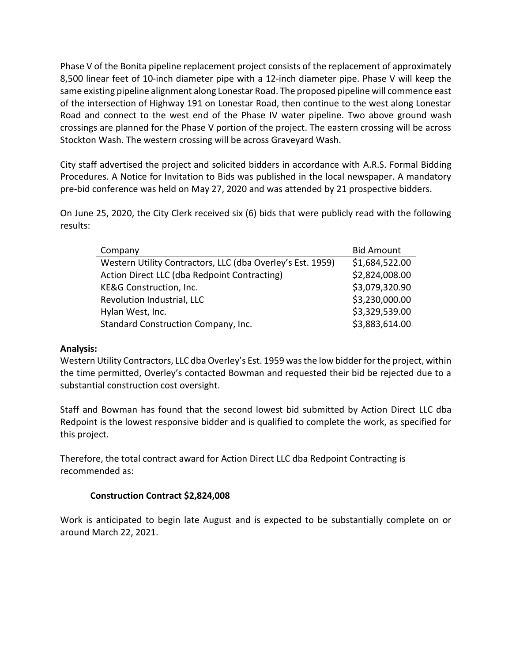Phase V of the Bonita pipeline replacement project consists of the replacement of approximately 8,500 linear feet of 10-inch diameter pipe with a 12‐inch diameter pipe. Phase V will keep the same existing pipeline alignment along Lonestar Road. The proposed pipeline will commence east of the intersection of Highway 191 on Lonestar Road, then continue to the west along Lonestar Road and connect to the west end of the Phase IV water pipeline. Two above ground wash crossings are planned for the Phase V portion of the project. The eastern crossing will be across Stockton Wash. The western crossing will be across Graveyard Wash.

City staff advertised the project and solicited bidders in accordance with A.R.S. Formal Bidding Procedures. A Notice for Invitation to Bids was published in the local newspaper. A mandatory pre-bid conference was held on May 27, 2020 and was attended by 21 prospective bidders.

On June 25, 2020, the City Clerk received six (6) bids that were publicly read with the following results:

| Company                                                    | <b>Bid Amount</b> |
|------------------------------------------------------------|-------------------|
| Western Utility Contractors, LLC (dba Overley's Est. 1959) | \$1,684,522.00    |
| Action Direct LLC (dba Redpoint Contracting)               | \$2,824,008.00    |
| KE&G Construction, Inc.                                    | \$3,079,320.90    |
| Revolution Industrial, LLC                                 | \$3,230,000.00    |
| Hylan West, Inc.                                           | \$3,329,539.00    |
| Standard Construction Company, Inc.                        | \$3,883,614.00    |

#### **Analysis:**

Western Utility Contractors, LLC dba Overley's Est. 1959 was the low bidder for the project, within the time permitted, Overley's contacted Bowman and requested their bid be rejected due to a substantial construction cost oversight.

Staff and Bowman has found that the second lowest bid submitted by Action Direct LLC dba Redpoint is the lowest responsive bidder and is qualified to complete the work, as specified for this project.

Therefore, the total contract award for Action Direct LLC dba Redpoint Contracting is recommended as:

#### **Construction Contract \$2,824,008**

Work is anticipated to begin late August and is expected to be substantially complete on or around March 22, 2021.